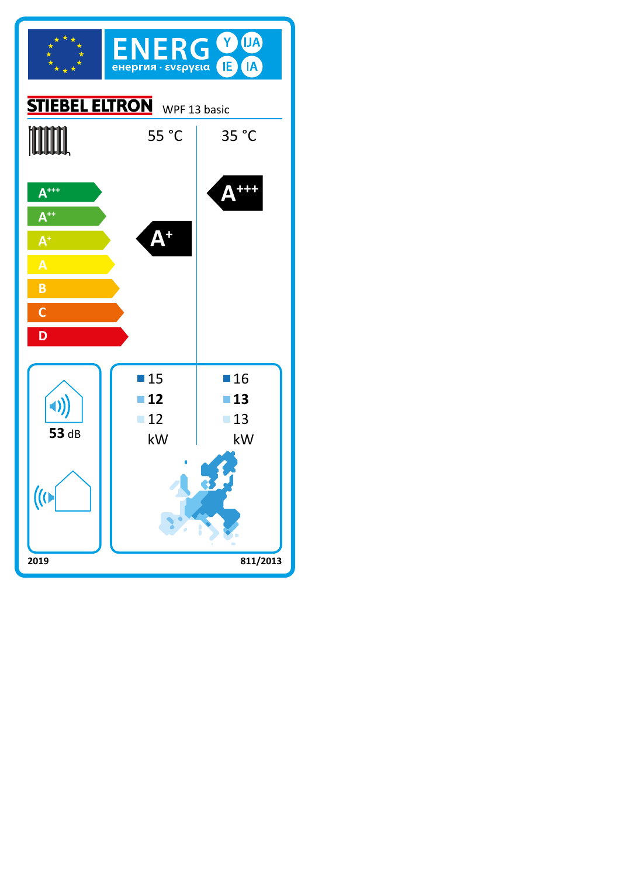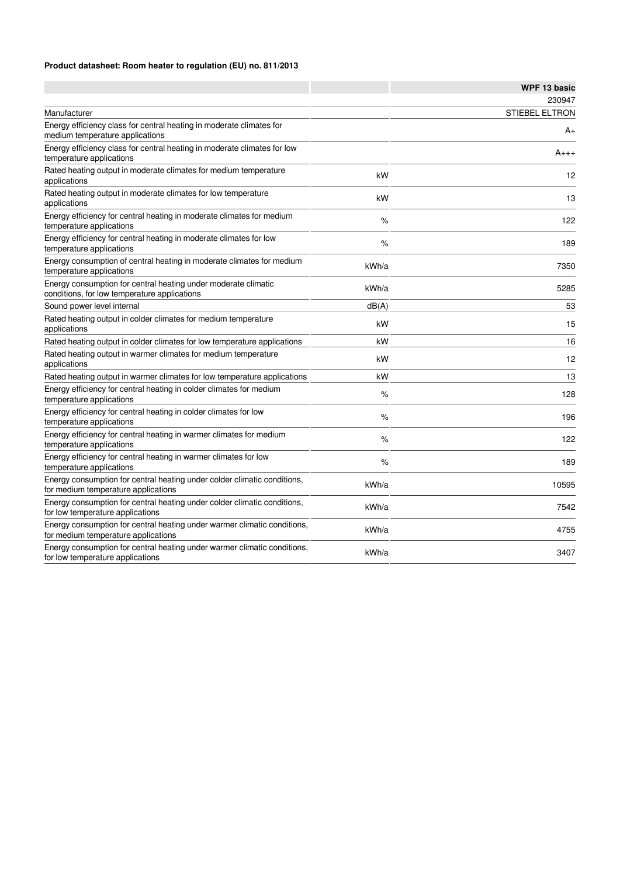## **Product datasheet: Room heater to regulation (EU) no. 811/2013**

|                                                                                                                 |       | <b>WPF 13 basic</b>   |
|-----------------------------------------------------------------------------------------------------------------|-------|-----------------------|
|                                                                                                                 |       | 230947                |
| Manufacturer                                                                                                    |       | <b>STIEBEL ELTRON</b> |
| Energy efficiency class for central heating in moderate climates for<br>medium temperature applications         |       | A+                    |
| Energy efficiency class for central heating in moderate climates for low<br>temperature applications            |       | $A_{+++}$             |
| Rated heating output in moderate climates for medium temperature<br>applications                                | kW    | 12                    |
| Rated heating output in moderate climates for low temperature<br>applications                                   | kW    | 13                    |
| Energy efficiency for central heating in moderate climates for medium<br>temperature applications               | %     | 122                   |
| Energy efficiency for central heating in moderate climates for low<br>temperature applications                  | %     | 189                   |
| Energy consumption of central heating in moderate climates for medium<br>temperature applications               | kWh/a | 7350                  |
| Energy consumption for central heating under moderate climatic<br>conditions, for low temperature applications  | kWh/a | 5285                  |
| Sound power level internal                                                                                      | dB(A) | 53                    |
| Rated heating output in colder climates for medium temperature<br>applications                                  | kW    | 15                    |
| Rated heating output in colder climates for low temperature applications                                        | kW    | 16                    |
| Rated heating output in warmer climates for medium temperature<br>applications                                  | kW    | 12                    |
| Rated heating output in warmer climates for low temperature applications                                        | kW    | 13                    |
| Energy efficiency for central heating in colder climates for medium<br>temperature applications                 | $\%$  | 128                   |
| Energy efficiency for central heating in colder climates for low<br>temperature applications                    | %     | 196                   |
| Energy efficiency for central heating in warmer climates for medium<br>temperature applications                 | %     | 122                   |
| Energy efficiency for central heating in warmer climates for low<br>temperature applications                    | %     | 189                   |
| Energy consumption for central heating under colder climatic conditions,<br>for medium temperature applications | kWh/a | 10595                 |
| Energy consumption for central heating under colder climatic conditions,<br>for low temperature applications    | kWh/a | 7542                  |
| Energy consumption for central heating under warmer climatic conditions,<br>for medium temperature applications | kWh/a | 4755                  |
| Energy consumption for central heating under warmer climatic conditions,<br>for low temperature applications    | kWh/a | 3407                  |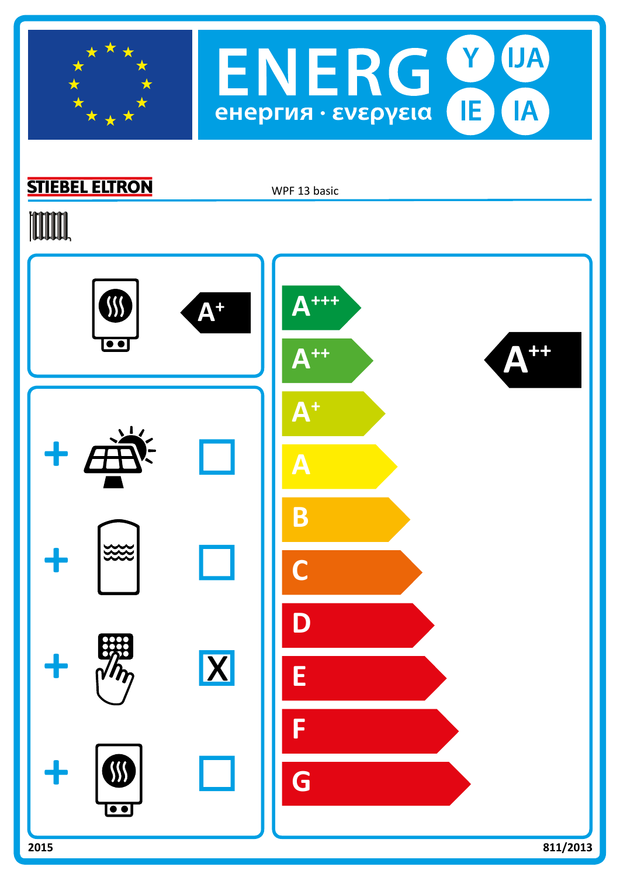



## **STIEBEL ELTRON**

WPF 13 basic

# **TOOTAL**

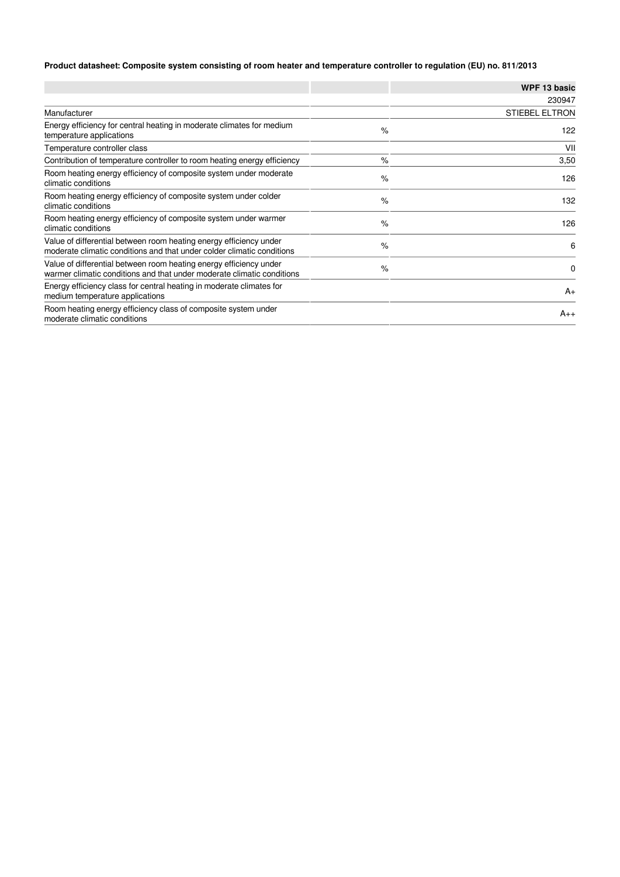## **Product datasheet: Composite system consisting of room heater and temperature controller to regulation (EU) no. 811/2013**

|                                                                                                                                              |      | <b>WPF 13 basic</b>   |
|----------------------------------------------------------------------------------------------------------------------------------------------|------|-----------------------|
|                                                                                                                                              |      | 230947                |
| Manufacturer                                                                                                                                 |      | <b>STIEBEL ELTRON</b> |
| Energy efficiency for central heating in moderate climates for medium<br>temperature applications                                            | $\%$ | 122                   |
| Temperature controller class                                                                                                                 |      | VII                   |
| Contribution of temperature controller to room heating energy efficiency                                                                     | $\%$ | 3,50                  |
| Room heating energy efficiency of composite system under moderate<br>climatic conditions                                                     | $\%$ | 126                   |
| Room heating energy efficiency of composite system under colder<br>climatic conditions                                                       | $\%$ | 132                   |
| Room heating energy efficiency of composite system under warmer<br>climatic conditions                                                       | $\%$ | 126                   |
| Value of differential between room heating energy efficiency under<br>moderate climatic conditions and that under colder climatic conditions | $\%$ | 6                     |
| Value of differential between room heating energy efficiency under<br>warmer climatic conditions and that under moderate climatic conditions | $\%$ | 0                     |
| Energy efficiency class for central heating in moderate climates for<br>medium temperature applications                                      |      | $A_{+}$               |
| Room heating energy efficiency class of composite system under<br>moderate climatic conditions                                               |      | $A_{++}$              |